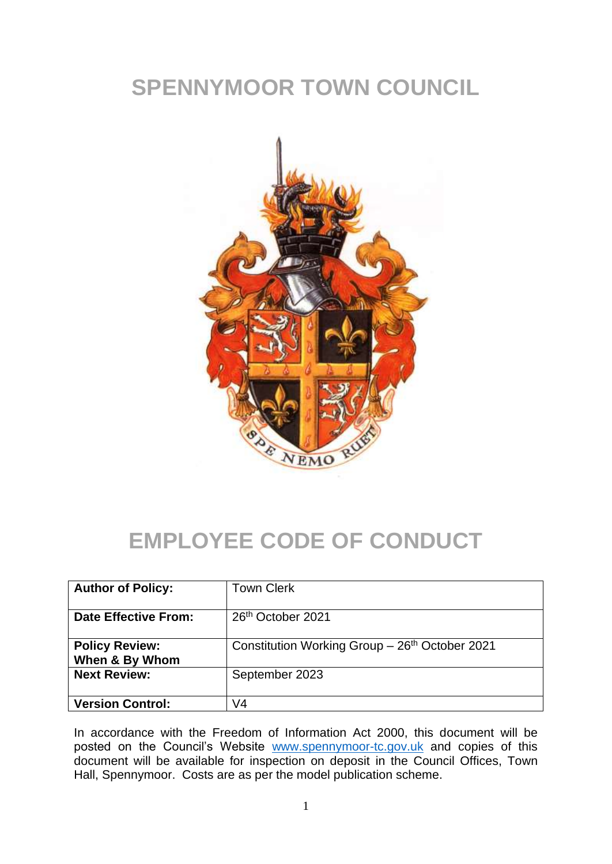## **SPENNYMOOR TOWN COUNCIL**



#### **EMPLOYEE CODE OF CONDUCT**

| <b>Author of Policy:</b>                | <b>Town Clerk</b>                               |
|-----------------------------------------|-------------------------------------------------|
| <b>Date Effective From:</b>             | 26 <sup>th</sup> October 2021                   |
| <b>Policy Review:</b><br>When & By Whom | Constitution Working Group $-26th$ October 2021 |
| <b>Next Review:</b>                     | September 2023                                  |
| <b>Version Control:</b>                 | V4                                              |

In accordance with the Freedom of Information Act 2000, this document will be posted on the Council's Website [www.spennymoor-tc.gov.uk](http://www.spennymoor-tc.gov.uk/) and copies of this document will be available for inspection on deposit in the Council Offices, Town Hall, Spennymoor. Costs are as per the model publication scheme.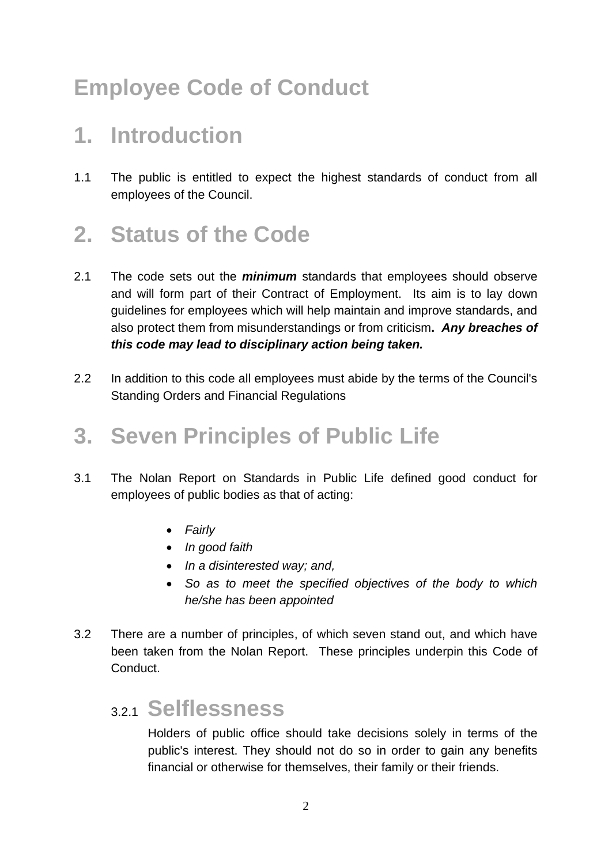## **Employee Code of Conduct**

#### **1. Introduction**

1.1 The public is entitled to expect the highest standards of conduct from all employees of the Council.

### **2. Status of the Code**

- 2.1 The code sets out the *minimum* standards that employees should observe and will form part of their Contract of Employment. Its aim is to lay down guidelines for employees which will help maintain and improve standards, and also protect them from misunderstandings or from criticism**.** *Any breaches of this code may lead to disciplinary action being taken.*
- 2.2 In addition to this code all employees must abide by the terms of the Council's Standing Orders and Financial Regulations

#### **3. Seven Principles of Public Life**

- 3.1 The Nolan Report on Standards in Public Life defined good conduct for employees of public bodies as that of acting:
	- *Fairly*
	- *In good faith*
	- *In a disinterested way; and,*
	- *So as to meet the specified objectives of the body to which he/she has been appointed*
- 3.2 There are a number of principles, of which seven stand out, and which have been taken from the Nolan Report. These principles underpin this Code of Conduct.

#### 3.2.1 **Selflessness**

Holders of public office should take decisions solely in terms of the public's interest. They should not do so in order to gain any benefits financial or otherwise for themselves, their family or their friends.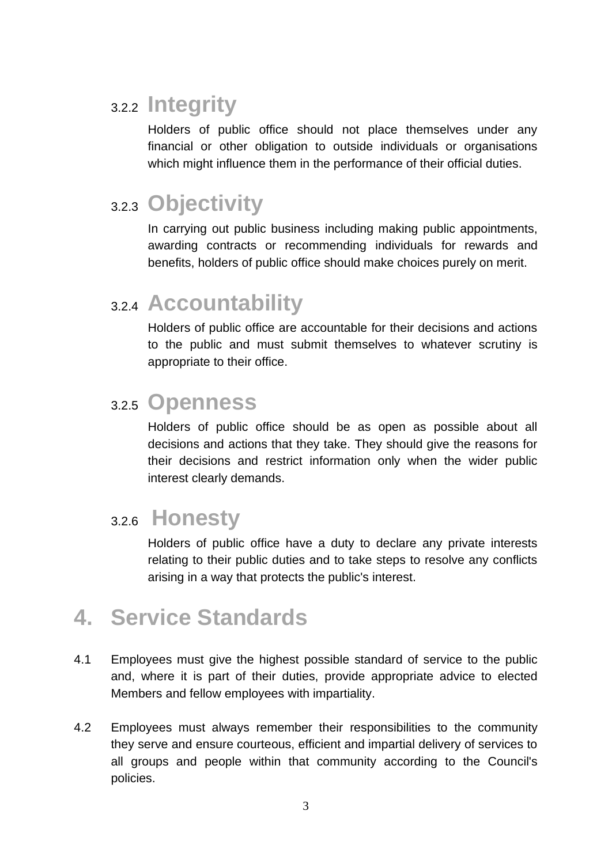#### 3.2.2 **Integrity**

Holders of public office should not place themselves under any financial or other obligation to outside individuals or organisations which might influence them in the performance of their official duties.

#### 3.2.3 **Objectivity**

In carrying out public business including making public appointments, awarding contracts or recommending individuals for rewards and benefits, holders of public office should make choices purely on merit.

#### 3.2.4 **Accountability**

Holders of public office are accountable for their decisions and actions to the public and must submit themselves to whatever scrutiny is appropriate to their office.

#### 3.2.5 **Openness**

Holders of public office should be as open as possible about all decisions and actions that they take. They should give the reasons for their decisions and restrict information only when the wider public interest clearly demands.

#### 3.2.6 **Honesty**

Holders of public office have a duty to declare any private interests relating to their public duties and to take steps to resolve any conflicts arising in a way that protects the public's interest.

#### **4. Service Standards**

- 4.1 Employees must give the highest possible standard of service to the public and, where it is part of their duties, provide appropriate advice to elected Members and fellow employees with impartiality.
- 4.2 Employees must always remember their responsibilities to the community they serve and ensure courteous, efficient and impartial delivery of services to all groups and people within that community according to the Council's policies.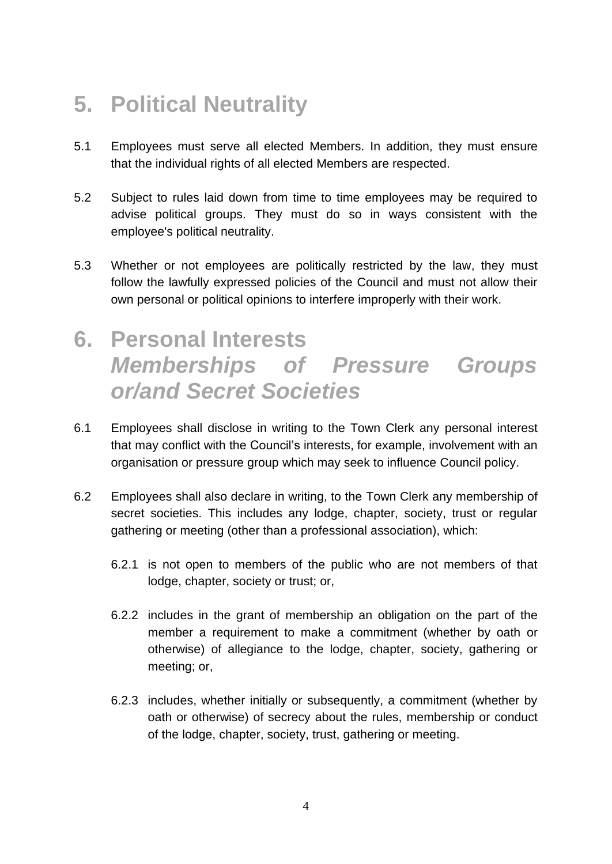### **5. Political Neutrality**

- 5.1 Employees must serve all elected Members. In addition, they must ensure that the individual rights of all elected Members are respected.
- 5.2 Subject to rules laid down from time to time employees may be required to advise political groups. They must do so in ways consistent with the employee's political neutrality.
- 5.3 Whether or not employees are politically restricted by the law, they must follow the lawfully expressed policies of the Council and must not allow their own personal or political opinions to interfere improperly with their work.
- **6. Personal Interests** *Memberships of Pressure Groups or/and Secret Societies*
- 6.1 Employees shall disclose in writing to the Town Clerk any personal interest that may conflict with the Council's interests, for example, involvement with an organisation or pressure group which may seek to influence Council policy.
- 6.2 Employees shall also declare in writing, to the Town Clerk any membership of secret societies. This includes any lodge, chapter, society, trust or regular gathering or meeting (other than a professional association), which:
	- 6.2.1 is not open to members of the public who are not members of that lodge, chapter, society or trust; or,
	- 6.2.2 includes in the grant of membership an obligation on the part of the member a requirement to make a commitment (whether by oath or otherwise) of allegiance to the lodge, chapter, society, gathering or meeting; or,
	- 6.2.3 includes, whether initially or subsequently, a commitment (whether by oath or otherwise) of secrecy about the rules, membership or conduct of the lodge, chapter, society, trust, gathering or meeting.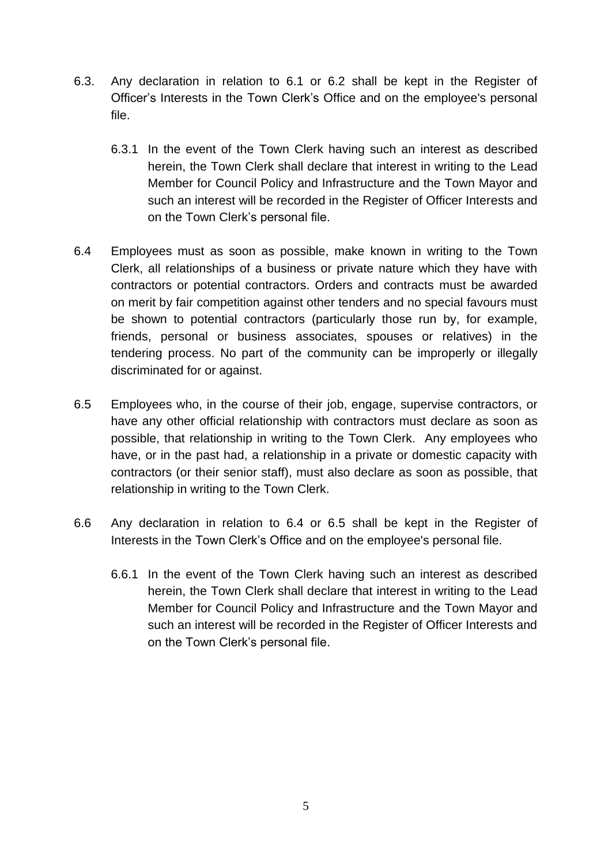- 6.3. Any declaration in relation to 6.1 or 6.2 shall be kept in the Register of Officer's Interests in the Town Clerk's Office and on the employee's personal file.
	- 6.3.1 In the event of the Town Clerk having such an interest as described herein, the Town Clerk shall declare that interest in writing to the Lead Member for Council Policy and Infrastructure and the Town Mayor and such an interest will be recorded in the Register of Officer Interests and on the Town Clerk's personal file.
- 6.4 Employees must as soon as possible, make known in writing to the Town Clerk, all relationships of a business or private nature which they have with contractors or potential contractors. Orders and contracts must be awarded on merit by fair competition against other tenders and no special favours must be shown to potential contractors (particularly those run by, for example, friends, personal or business associates, spouses or relatives) in the tendering process. No part of the community can be improperly or illegally discriminated for or against.
- 6.5 Employees who, in the course of their job, engage, supervise contractors, or have any other official relationship with contractors must declare as soon as possible, that relationship in writing to the Town Clerk. Any employees who have, or in the past had, a relationship in a private or domestic capacity with contractors (or their senior staff), must also declare as soon as possible, that relationship in writing to the Town Clerk.
- 6.6 Any declaration in relation to 6.4 or 6.5 shall be kept in the Register of Interests in the Town Clerk's Office and on the employee's personal file.
	- 6.6.1 In the event of the Town Clerk having such an interest as described herein, the Town Clerk shall declare that interest in writing to the Lead Member for Council Policy and Infrastructure and the Town Mayor and such an interest will be recorded in the Register of Officer Interests and on the Town Clerk's personal file.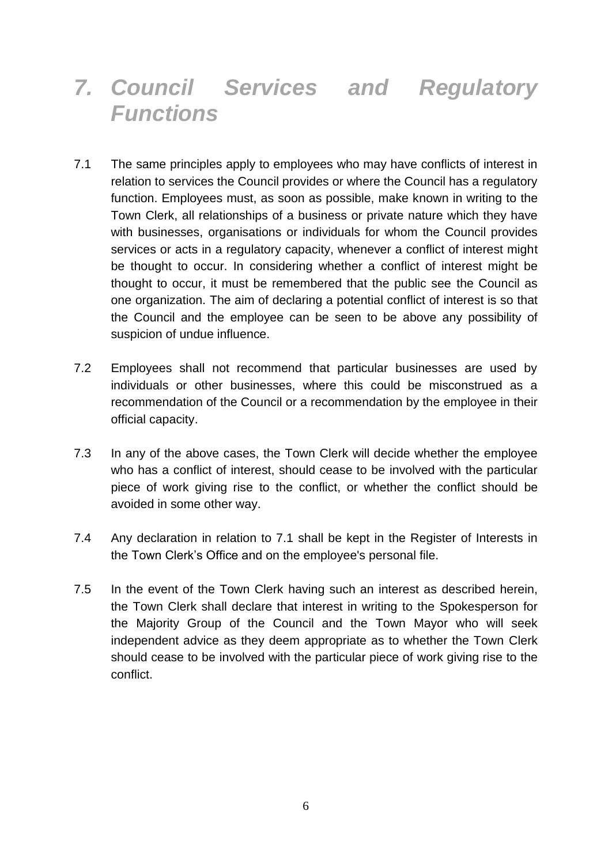#### *7. Council Services and Regulatory Functions*

- 7.1 The same principles apply to employees who may have conflicts of interest in relation to services the Council provides or where the Council has a regulatory function. Employees must, as soon as possible, make known in writing to the Town Clerk, all relationships of a business or private nature which they have with businesses, organisations or individuals for whom the Council provides services or acts in a regulatory capacity, whenever a conflict of interest might be thought to occur. In considering whether a conflict of interest might be thought to occur, it must be remembered that the public see the Council as one organization. The aim of declaring a potential conflict of interest is so that the Council and the employee can be seen to be above any possibility of suspicion of undue influence.
- 7.2 Employees shall not recommend that particular businesses are used by individuals or other businesses, where this could be misconstrued as a recommendation of the Council or a recommendation by the employee in their official capacity.
- 7.3 In any of the above cases, the Town Clerk will decide whether the employee who has a conflict of interest, should cease to be involved with the particular piece of work giving rise to the conflict, or whether the conflict should be avoided in some other way.
- 7.4 Any declaration in relation to 7.1 shall be kept in the Register of Interests in the Town Clerk's Office and on the employee's personal file.
- 7.5 In the event of the Town Clerk having such an interest as described herein, the Town Clerk shall declare that interest in writing to the Spokesperson for the Majority Group of the Council and the Town Mayor who will seek independent advice as they deem appropriate as to whether the Town Clerk should cease to be involved with the particular piece of work giving rise to the conflict.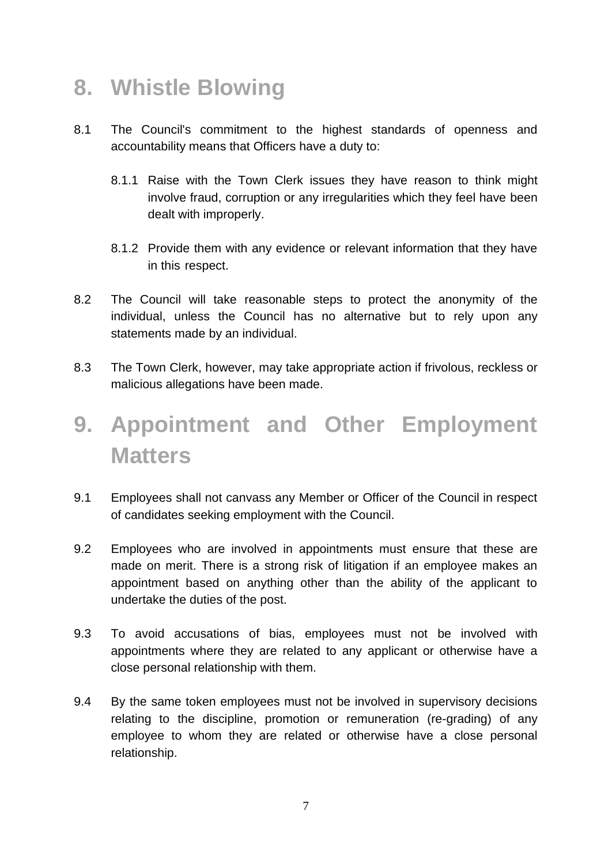#### **8. Whistle Blowing**

- 8.1 The Council's commitment to the highest standards of openness and accountability means that Officers have a duty to:
	- 8.1.1 Raise with the Town Clerk issues they have reason to think might involve fraud, corruption or any irregularities which they feel have been dealt with improperly.
	- 8.1.2 Provide them with any evidence or relevant information that they have in this respect.
- 8.2 The Council will take reasonable steps to protect the anonymity of the individual, unless the Council has no alternative but to rely upon any statements made by an individual.
- 8.3 The Town Clerk, however, may take appropriate action if frivolous, reckless or malicious allegations have been made.

### **9. Appointment and Other Employment Matters**

- 9.1 Employees shall not canvass any Member or Officer of the Council in respect of candidates seeking employment with the Council.
- 9.2 Employees who are involved in appointments must ensure that these are made on merit. There is a strong risk of litigation if an employee makes an appointment based on anything other than the ability of the applicant to undertake the duties of the post.
- 9.3 To avoid accusations of bias, employees must not be involved with appointments where they are related to any applicant or otherwise have a close personal relationship with them.
- 9.4 By the same token employees must not be involved in supervisory decisions relating to the discipline, promotion or remuneration (re-grading) of any employee to whom they are related or otherwise have a close personal relationship.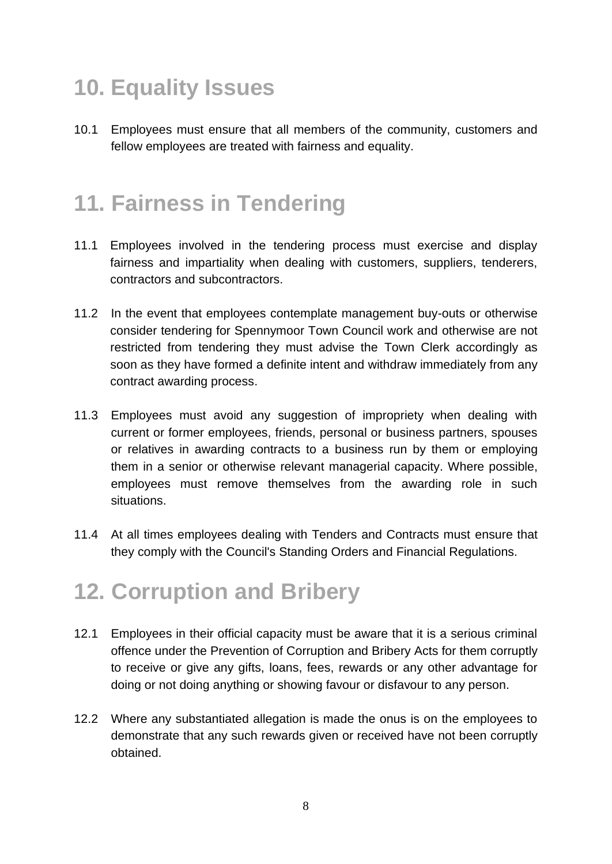## **10. Equality Issues**

10.1 Employees must ensure that all members of the community, customers and fellow employees are treated with fairness and equality.

### **11. Fairness in Tendering**

- 11.1 Employees involved in the tendering process must exercise and display fairness and impartiality when dealing with customers, suppliers, tenderers, contractors and subcontractors.
- 11.2 In the event that employees contemplate management buy-outs or otherwise consider tendering for Spennymoor Town Council work and otherwise are not restricted from tendering they must advise the Town Clerk accordingly as soon as they have formed a definite intent and withdraw immediately from any contract awarding process.
- 11.3 Employees must avoid any suggestion of impropriety when dealing with current or former employees, friends, personal or business partners, spouses or relatives in awarding contracts to a business run by them or employing them in a senior or otherwise relevant managerial capacity. Where possible, employees must remove themselves from the awarding role in such situations.
- 11.4 At all times employees dealing with Tenders and Contracts must ensure that they comply with the Council's Standing Orders and Financial Regulations.

### **12. Corruption and Bribery**

- 12.1 Employees in their official capacity must be aware that it is a serious criminal offence under the Prevention of Corruption and Bribery Acts for them corruptly to receive or give any gifts, loans, fees, rewards or any other advantage for doing or not doing anything or showing favour or disfavour to any person.
- 12.2 Where any substantiated allegation is made the onus is on the employees to demonstrate that any such rewards given or received have not been corruptly obtained.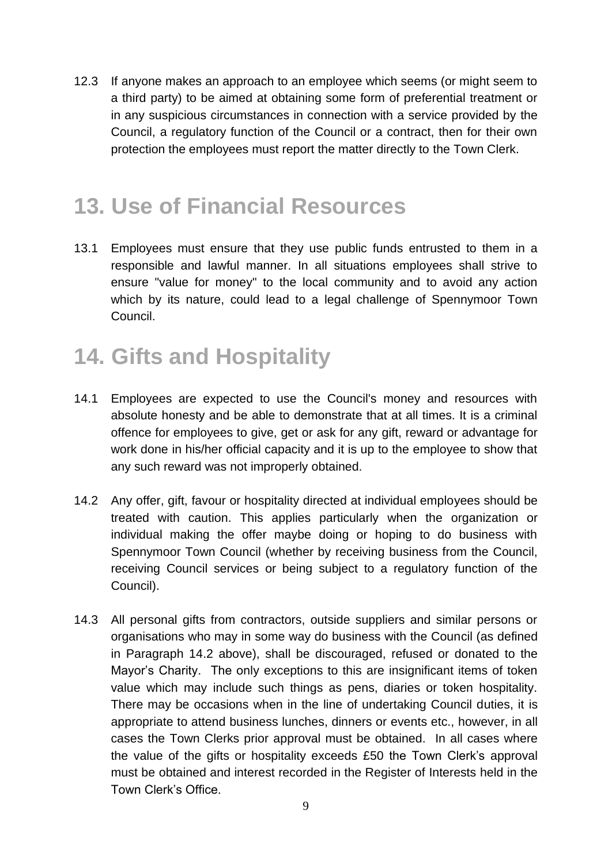12.3 If anyone makes an approach to an employee which seems (or might seem to a third party) to be aimed at obtaining some form of preferential treatment or in any suspicious circumstances in connection with a service provided by the Council, a regulatory function of the Council or a contract, then for their own protection the employees must report the matter directly to the Town Clerk.

#### **13. Use of Financial Resources**

13.1 Employees must ensure that they use public funds entrusted to them in a responsible and lawful manner. In all situations employees shall strive to ensure "value for money" to the local community and to avoid any action which by its nature, could lead to a legal challenge of Spennymoor Town Council.

### **14. Gifts and Hospitality**

- 14.1 Employees are expected to use the Council's money and resources with absolute honesty and be able to demonstrate that at all times. It is a criminal offence for employees to give, get or ask for any gift, reward or advantage for work done in his/her official capacity and it is up to the employee to show that any such reward was not improperly obtained.
- 14.2 Any offer, gift, favour or hospitality directed at individual employees should be treated with caution. This applies particularly when the organization or individual making the offer maybe doing or hoping to do business with Spennymoor Town Council (whether by receiving business from the Council, receiving Council services or being subject to a regulatory function of the Council).
- 14.3 All personal gifts from contractors, outside suppliers and similar persons or organisations who may in some way do business with the Council (as defined in Paragraph 14.2 above), shall be discouraged, refused or donated to the Mayor's Charity. The only exceptions to this are insignificant items of token value which may include such things as pens, diaries or token hospitality. There may be occasions when in the line of undertaking Council duties, it is appropriate to attend business lunches, dinners or events etc., however, in all cases the Town Clerks prior approval must be obtained. In all cases where the value of the gifts or hospitality exceeds £50 the Town Clerk's approval must be obtained and interest recorded in the Register of Interests held in the Town Clerk's Office.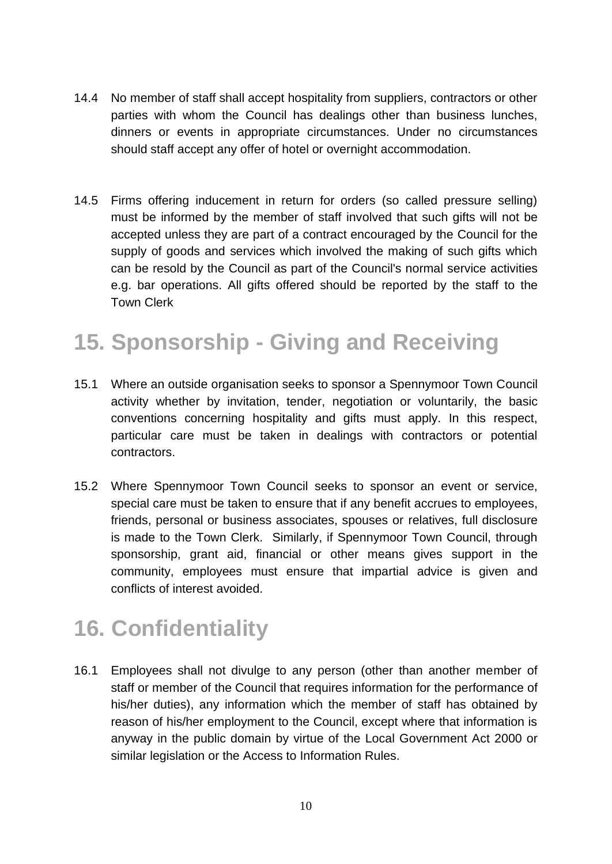- 14.4 No member of staff shall accept hospitality from suppliers, contractors or other parties with whom the Council has dealings other than business lunches, dinners or events in appropriate circumstances. Under no circumstances should staff accept any offer of hotel or overnight accommodation.
- 14.5 Firms offering inducement in return for orders (so called pressure selling) must be informed by the member of staff involved that such gifts will not be accepted unless they are part of a contract encouraged by the Council for the supply of goods and services which involved the making of such gifts which can be resold by the Council as part of the Council's normal service activities e.g. bar operations. All gifts offered should be reported by the staff to the Town Clerk

## **15. Sponsorship - Giving and Receiving**

- 15.1 Where an outside organisation seeks to sponsor a Spennymoor Town Council activity whether by invitation, tender, negotiation or voluntarily, the basic conventions concerning hospitality and gifts must apply. In this respect, particular care must be taken in dealings with contractors or potential contractors.
- 15.2 Where Spennymoor Town Council seeks to sponsor an event or service, special care must be taken to ensure that if any benefit accrues to employees, friends, personal or business associates, spouses or relatives, full disclosure is made to the Town Clerk. Similarly, if Spennymoor Town Council, through sponsorship, grant aid, financial or other means gives support in the community, employees must ensure that impartial advice is given and conflicts of interest avoided.

### **16. Confidentiality**

16.1 Employees shall not divulge to any person (other than another member of staff or member of the Council that requires information for the performance of his/her duties), any information which the member of staff has obtained by reason of his/her employment to the Council, except where that information is anyway in the public domain by virtue of the Local Government Act 2000 or similar legislation or the Access to Information Rules.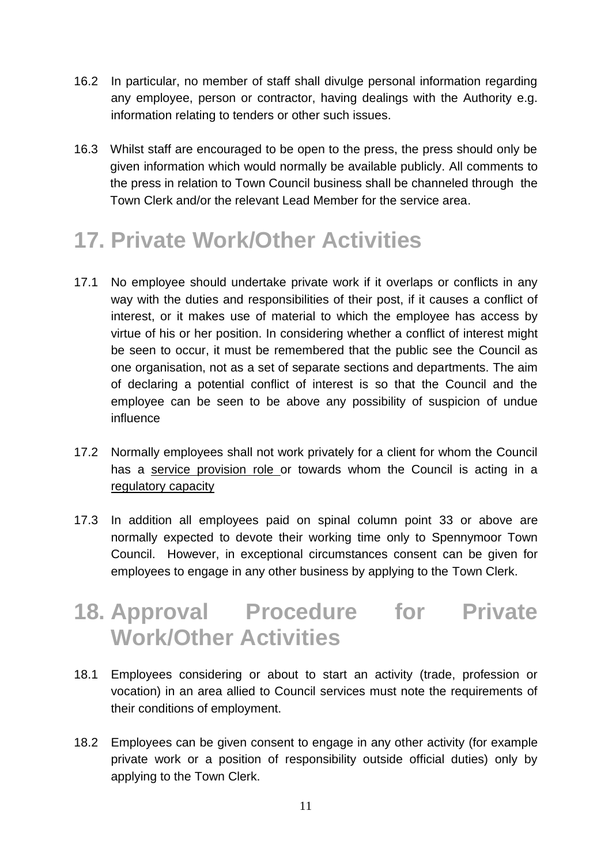- 16.2 In particular, no member of staff shall divulge personal information regarding any employee, person or contractor, having dealings with the Authority e.g. information relating to tenders or other such issues.
- 16.3 Whilst staff are encouraged to be open to the press, the press should only be given information which would normally be available publicly. All comments to the press in relation to Town Council business shall be channeled through the Town Clerk and/or the relevant Lead Member for the service area.

### **17. Private Work/Other Activities**

- 17.1 No employee should undertake private work if it overlaps or conflicts in any way with the duties and responsibilities of their post, if it causes a conflict of interest, or it makes use of material to which the employee has access by virtue of his or her position. In considering whether a conflict of interest might be seen to occur, it must be remembered that the public see the Council as one organisation, not as a set of separate sections and departments. The aim of declaring a potential conflict of interest is so that the Council and the employee can be seen to be above any possibility of suspicion of undue influence
- 17.2 Normally employees shall not work privately for a client for whom the Council has a service provision role or towards whom the Council is acting in a regulatory capacity
- 17.3 In addition all employees paid on spinal column point 33 or above are normally expected to devote their working time only to Spennymoor Town Council. However, in exceptional circumstances consent can be given for employees to engage in any other business by applying to the Town Clerk.

#### **18. Approval Procedure for Private Work/Other Activities**

- 18.1 Employees considering or about to start an activity (trade, profession or vocation) in an area allied to Council services must note the requirements of their conditions of employment.
- 18.2 Employees can be given consent to engage in any other activity (for example private work or a position of responsibility outside official duties) only by applying to the Town Clerk.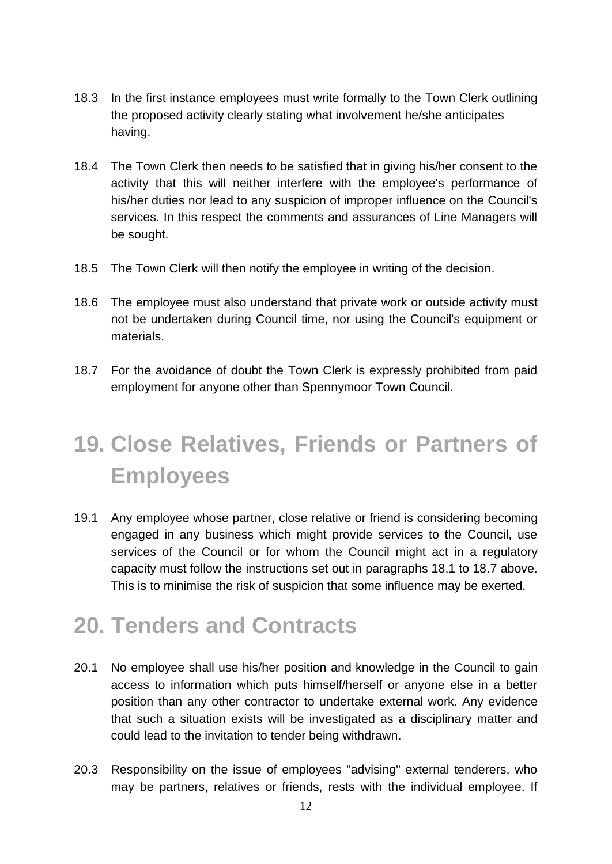- 18.3 In the first instance employees must write formally to the Town Clerk outlining the proposed activity clearly stating what involvement he/she anticipates having.
- 18.4 The Town Clerk then needs to be satisfied that in giving his/her consent to the activity that this will neither interfere with the employee's performance of his/her duties nor lead to any suspicion of improper influence on the Council's services. In this respect the comments and assurances of Line Managers will be sought.
- 18.5 The Town Clerk will then notify the employee in writing of the decision.
- 18.6 The employee must also understand that private work or outside activity must not be undertaken during Council time, nor using the Council's equipment or materials.
- 18.7 For the avoidance of doubt the Town Clerk is expressly prohibited from paid employment for anyone other than Spennymoor Town Council.

## **19. Close Relatives, Friends or Partners of Employees**

19.1 Any employee whose partner, close relative or friend is considering becoming engaged in any business which might provide services to the Council, use services of the Council or for whom the Council might act in a regulatory capacity must follow the instructions set out in paragraphs 18.1 to 18.7 above. This is to minimise the risk of suspicion that some influence may be exerted.

#### **20. Tenders and Contracts**

- 20.1 No employee shall use his/her position and knowledge in the Council to gain access to information which puts himself/herself or anyone else in a better position than any other contractor to undertake external work. Any evidence that such a situation exists will be investigated as a disciplinary matter and could lead to the invitation to tender being withdrawn.
- 20.3 Responsibility on the issue of employees "advising" external tenderers, who may be partners, relatives or friends, rests with the individual employee. If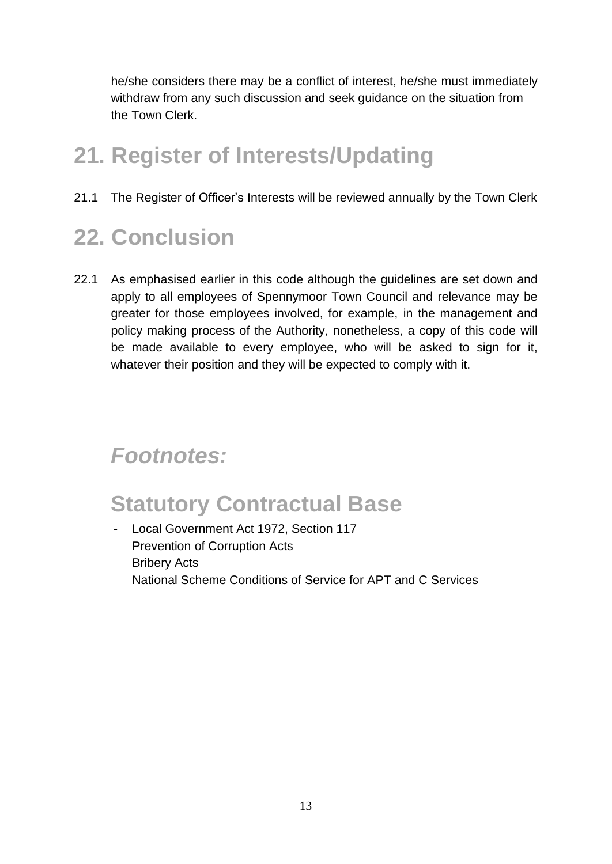he/she considers there may be a conflict of interest, he/she must immediately withdraw from any such discussion and seek guidance on the situation from the Town Clerk.

### **21. Register of Interests/Updating**

21.1 The Register of Officer's Interests will be reviewed annually by the Town Clerk

## **22. Conclusion**

22.1 As emphasised earlier in this code although the guidelines are set down and apply to all employees of Spennymoor Town Council and relevance may be greater for those employees involved, for example, in the management and policy making process of the Authority, nonetheless, a copy of this code will be made available to every employee, who will be asked to sign for it, whatever their position and they will be expected to comply with it.

#### *Footnotes:*

### **Statutory Contractual Base**

Local Government Act 1972, Section 117 Prevention of Corruption Acts Bribery Acts National Scheme Conditions of Service for APT and C Services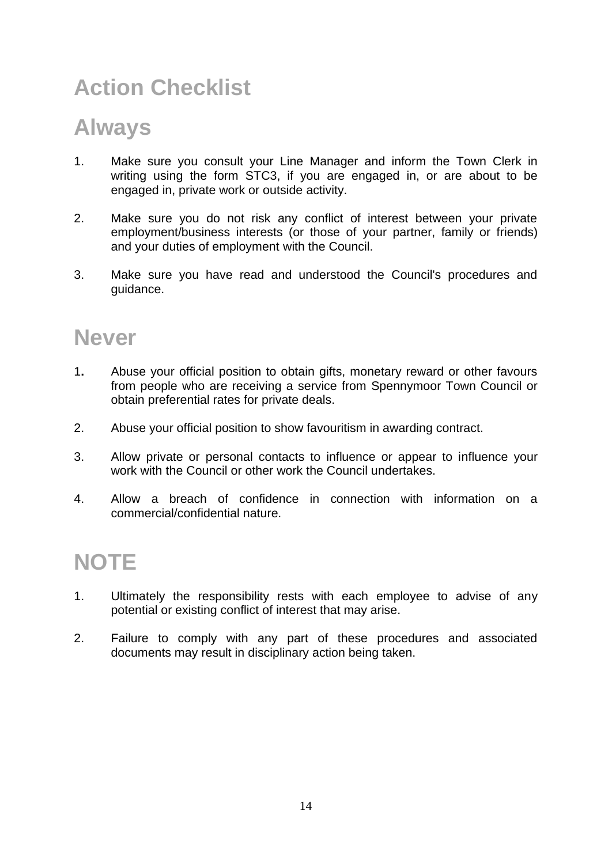## **Action Checklist**

#### **Always**

- 1. Make sure you consult your Line Manager and inform the Town Clerk in writing using the form STC3, if you are engaged in, or are about to be engaged in, private work or outside activity.
- 2. Make sure you do not risk any conflict of interest between your private employment/business interests (or those of your partner, family or friends) and your duties of employment with the Council.
- 3. Make sure you have read and understood the Council's procedures and guidance.

#### **Never**

- 1**.** Abuse your official position to obtain gifts, monetary reward or other favours from people who are receiving a service from Spennymoor Town Council or obtain preferential rates for private deals.
- 2. Abuse your official position to show favouritism in awarding contract.
- 3. Allow private or personal contacts to influence or appear to influence your work with the Council or other work the Council undertakes.
- 4. Allow a breach of confidence in connection with information on a commercial/confidential nature.

#### **NOTE**

- 1. Ultimately the responsibility rests with each employee to advise of any potential or existing conflict of interest that may arise.
- 2. Failure to comply with any part of these procedures and associated documents may result in disciplinary action being taken.